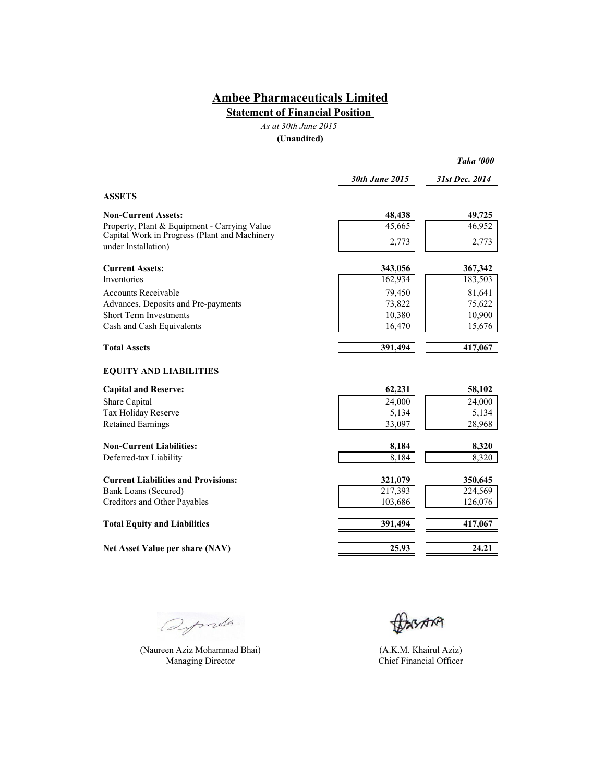**Statement of Financial Position** 

*As at 30th June 2015*

**(Unaudited)**

|                                                                      | 30th June 2015 | 31st Dec. 2014 |  |
|----------------------------------------------------------------------|----------------|----------------|--|
| <b>ASSETS</b>                                                        |                |                |  |
| <b>Non-Current Assets:</b>                                           | 48,438         | 49,725         |  |
| Property, Plant & Equipment - Carrying Value                         | 45,665         | 46,952         |  |
| Capital Work in Progress (Plant and Machinery<br>under Installation) | 2,773          | 2,773          |  |
| <b>Current Assets:</b>                                               | 343,056        | 367,342        |  |
| <b>Inventories</b>                                                   | 162,934        | 183,503        |  |
| <b>Accounts Receivable</b>                                           | 79,450         | 81,641         |  |
| Advances, Deposits and Pre-payments                                  | 73,822         | 75,622         |  |
| <b>Short Term Investments</b>                                        | 10,380         | 10,900         |  |
| Cash and Cash Equivalents                                            | 16,470         | 15,676         |  |
| <b>Total Assets</b>                                                  | 391,494        | 417,067        |  |
| <b>EQUITY AND LIABILITIES</b>                                        |                |                |  |
| <b>Capital and Reserve:</b>                                          | 62,231         | 58,102         |  |
| Share Capital                                                        | 24,000         | 24,000         |  |
| Tax Holiday Reserve                                                  | 5,134          | 5,134          |  |
| <b>Retained Earnings</b>                                             | 33,097         | 28,968         |  |
| <b>Non-Current Liabilities:</b>                                      | 8,184          | 8,320          |  |
| Deferred-tax Liability                                               | 8,184          | 8,320          |  |
| <b>Current Liabilities and Provisions:</b>                           | 321,079        | 350,645        |  |
| Bank Loans (Secured)                                                 | 217,393        | 224,569        |  |
| Creditors and Other Payables                                         | 103,686        | 126,076        |  |
| <b>Total Equity and Liabilities</b>                                  | 391,494        | 417,067        |  |
| Net Asset Value per share (NAV)                                      | 25.93          | 24.21          |  |

Qymda.

(Naureen Aziz Mohammad Bhai) (A.K.M. Khairul Aziz) Managing Director Chief Financial Officer

BASARA

*Taka '000*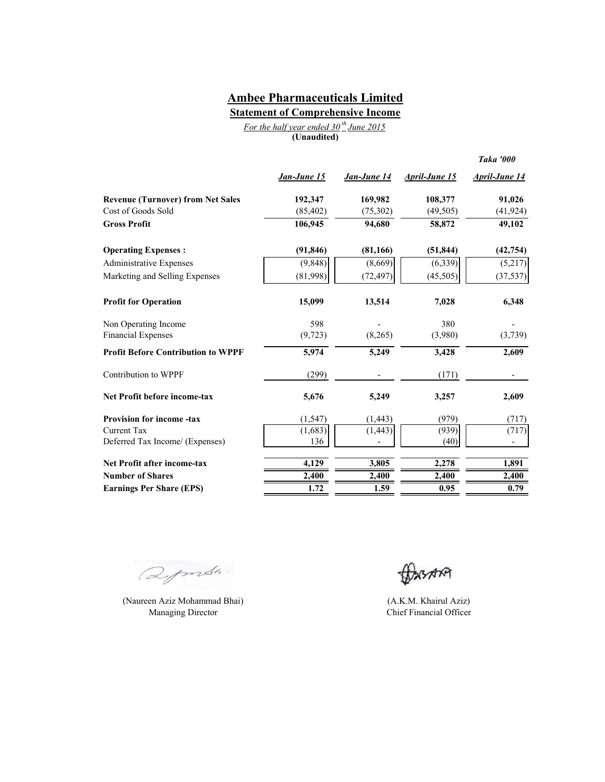**Statement of Comprehensive Income**

|             |  | For the half year ended $30th$ June 2015 |  |
|-------------|--|------------------------------------------|--|
| (Unaudited) |  |                                          |  |

|                                           |             |                          |                      | <b>Taka '000</b>     |
|-------------------------------------------|-------------|--------------------------|----------------------|----------------------|
|                                           | Jan-June 15 | Jan-June 14              | <b>April-June 15</b> | <u>April-June 14</u> |
| <b>Revenue (Turnover) from Net Sales</b>  | 192,347     | 169,982                  | 108,377              | 91,026               |
| Cost of Goods Sold                        | (85, 402)   | (75,302)                 | (49, 505)            | (41, 924)            |
| <b>Gross Profit</b>                       | 106,945     | 94,680                   | 58,872               | 49,102               |
| <b>Operating Expenses:</b>                | (91, 846)   | (81, 166)                | (51, 844)            | (42, 754)            |
| <b>Administrative Expenses</b>            | (9, 848)    | (8,669)                  | (6, 339)             | (5,217)              |
| Marketing and Selling Expenses            | (81,998)    | (72, 497)                | (45, 505)            | (37, 537)            |
| <b>Profit for Operation</b>               | 15,099      | 13,514                   | 7,028                | 6,348                |
| Non Operating Income                      | 598         |                          | 380                  |                      |
| <b>Financial Expenses</b>                 | (9, 723)    | (8,265)                  | (3,980)              | (3,739)              |
| <b>Profit Before Contribution to WPPF</b> | 5,974       | 5,249                    | 3,428                | 2,609                |
| Contribution to WPPF                      | (299)       | $\overline{\phantom{a}}$ | (171)                |                      |
| <b>Net Profit before income-tax</b>       | 5,676       | 5,249                    | 3,257                | 2,609                |
| <b>Provision for income-tax</b>           | (1, 547)    | (1, 443)                 | (979)                | (717)                |
| <b>Current Tax</b>                        | (1,683)     | (1, 443)                 | (939)                | (717)                |
| Deferred Tax Income/ (Expenses)           | 136         |                          | (40)                 |                      |
| Net Profit after income-tax               | 4,129       | 3,805                    | 2,278                | 1,891                |
| <b>Number of Shares</b>                   | 2,400       | 2,400                    | 2,400                | 2,400                |
| <b>Earnings Per Share (EPS)</b>           | 1.72        | 1.59                     | 0.95                 | 0.79                 |

Deports.

(Naureen Aziz Mohammad Bhai) Managing Director

**BASARA** 

(A.K.M. Khairul Aziz) Chief Financial Officer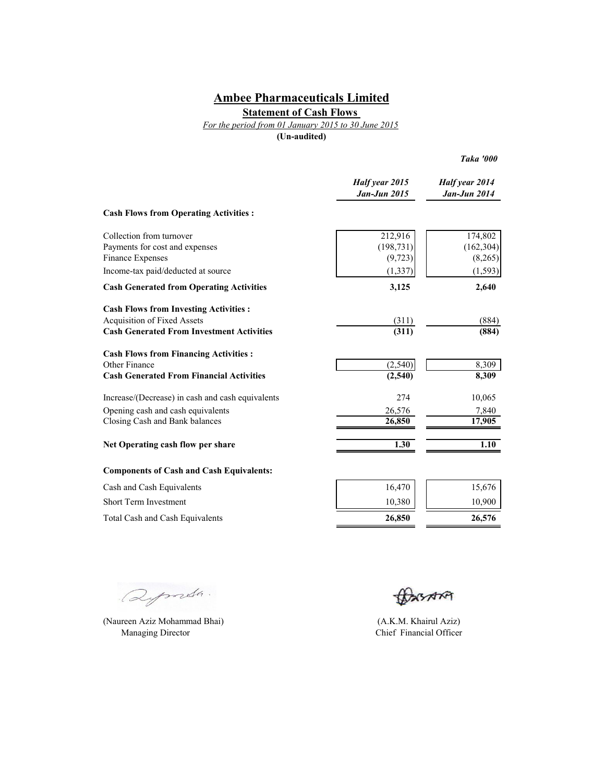## **Statement of Cash Flows**

*For the period from 01 January 2015 to 30 June 2015*

**(Un-audited)**

*Taka '000*

|                                                  | Half year 2015<br><b>Jan-Jun 2015</b> | Half year 2014<br><b>Jan-Jun 2014</b> |
|--------------------------------------------------|---------------------------------------|---------------------------------------|
| <b>Cash Flows from Operating Activities:</b>     |                                       |                                       |
| Collection from turnover                         | 212,916                               | 174,802                               |
| Payments for cost and expenses                   | (198, 731)                            | (162, 304)                            |
| Finance Expenses                                 | (9, 723)                              | (8,265)                               |
| Income-tax paid/deducted at source               | (1, 337)                              | (1, 593)                              |
| <b>Cash Generated from Operating Activities</b>  | 3,125                                 | 2,640                                 |
| <b>Cash Flows from Investing Activities:</b>     |                                       |                                       |
| <b>Acquisition of Fixed Assets</b>               | (311)                                 | (884)                                 |
| <b>Cash Generated From Investment Activities</b> | (311)                                 | (884)                                 |
| <b>Cash Flows from Financing Activities:</b>     |                                       |                                       |
| Other Finance                                    | (2,540)                               | 8,309                                 |
| <b>Cash Generated From Financial Activities</b>  | (2,540)                               | 8,309                                 |
| Increase/(Decrease) in cash and cash equivalents | 274                                   | 10,065                                |
| Opening cash and cash equivalents                | 26,576                                | 7,840                                 |
| Closing Cash and Bank balances                   | 26,850                                | 17,905                                |
| Net Operating cash flow per share                | 1.30                                  | 1.10                                  |
| <b>Components of Cash and Cash Equivalents:</b>  |                                       |                                       |
| Cash and Cash Equivalents                        | 16,470                                | 15,676                                |
| <b>Short Term Investment</b>                     | 10,380                                | 10,900                                |
| <b>Total Cash and Cash Equivalents</b>           | 26,850                                | 26,576                                |

Deposts.

(Naureen Aziz Mohammad Bhai) Managing Director

BASARA

(A.K.M. Khairul Aziz) Chief Financial Officer